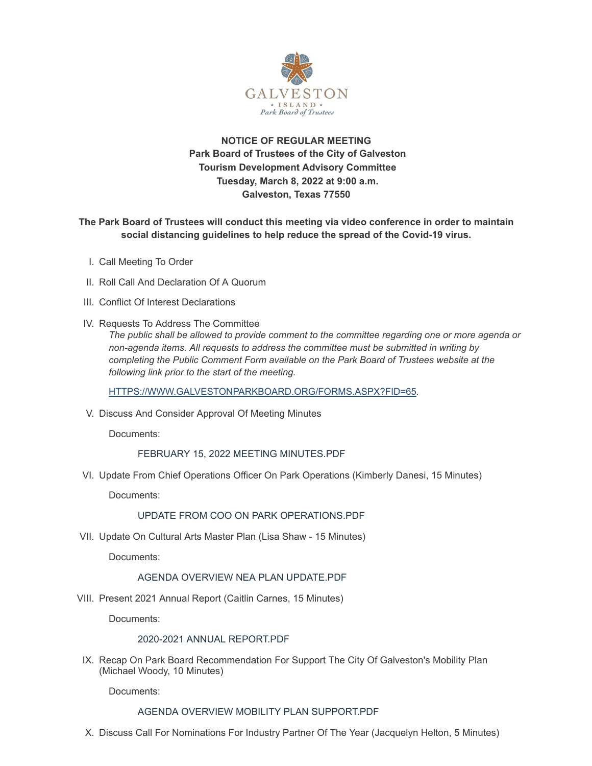

## **NOTICE OF REGULAR MEETING Park Board of Trustees of the City of Galveston Tourism Development Advisory Committee Tuesday, March 8, 2022 at 9:00 a.m. Galveston, Texas 77550**

**The Park Board of Trustees will conduct this meeting via video conference in order to maintain social distancing guidelines to help reduce the spread of the Covid-19 virus.**

- I. Call Meeting To Order
- II. Roll Call And Declaration Of A Quorum
- III. Conflict Of Interest Declarations
- IV. Requests To Address The Committee

*The public shall be allowed to provide comment to the committee regarding one or more agenda or non-agenda items. All requests to address the committee must be submitted in writing by completing the Public Comment Form available on the Park Board of Trustees website at the following link prior to the start of the meeting.*

[HTTPS://WWW.GALVESTONPARKBOARD.ORG/FORMS.ASPX?FID=65](https://www.galvestonparkboard.org/forms.aspx?FID=65)*.*

V. Discuss And Consider Approval Of Meeting Minutes

Documents:

FEBRUARY 15, 2022 MEETING [MINUTES.PDF](https://www.galvestonparkboard.org/AgendaCenter/ViewFile/Item/7438?fileID=11097)

VI. Update From Chief Operations Officer On Park Operations (Kimberly Danesi, 15 Minutes)

Documents:

### UPDATE FROM COO ON PARK [OPERATIONS.PDF](https://www.galvestonparkboard.org/AgendaCenter/ViewFile/Item/7465?fileID=11028)

VII. Update On Cultural Arts Master Plan (Lisa Shaw - 15 Minutes)

Documents:

#### AGENDA OVERVIEW NEA PLAN [UPDATE.PDF](https://www.galvestonparkboard.org/AgendaCenter/ViewFile/Item/7444?fileID=11098)

VIII. Present 2021 Annual Report (Caitlin Carnes, 15 Minutes)

Documents:

#### 2020-2021 ANNUAL [REPORT.PDF](https://www.galvestonparkboard.org/AgendaCenter/ViewFile/Item/7463?fileID=11100)

IX. Recap On Park Board Recommendation For Support The City Of Galveston's Mobility Plan (Michael Woody, 10 Minutes)

Documents:

#### AGENDA OVERVIEW MOBILITY PLAN [SUPPORT.PDF](https://www.galvestonparkboard.org/AgendaCenter/ViewFile/Item/7289?fileID=11103)

X. Discuss Call For Nominations For Industry Partner Of The Year (Jacquelyn Helton, 5 Minutes)